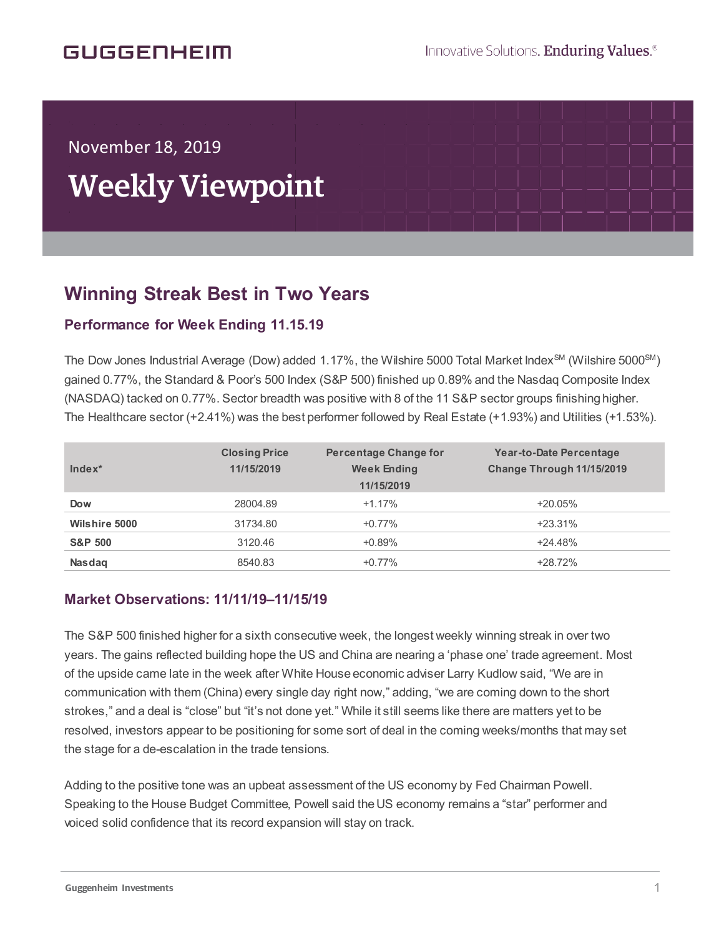# GUGGENHEIM

November 18, 2019

í

# Weekly Viewpoint

## **Winning Streak Best in Two Years**  $\overline{a}$

### **Performance for Week Ending 11.15.19**

The Dow Jones Industrial Average (Dow) added 1.17%, the Wilshire 5000 Total Market Index<sup>SM</sup> (Wilshire 5000<sup>SM</sup>) gained 0.77%, the Standard & Poor's 500 Index (S&P 500) finished up 0.89% and the Nasdaq Composite Index (NASDAQ) tacked on 0.77%. Sector breadth was positive with 8 of the 11 S&P sector groups finishing higher. The Healthcare sector (+2.41%) was the best performer followed by Real Estate (+1.93%) and Utilities (+1.53%).

| $Index^*$            | <b>Closing Price</b><br>11/15/2019 | <b>Percentage Change for</b><br><b>Week Ending</b><br>11/15/2019 | Year-to-Date Percentage<br>Change Through 11/15/2019 |
|----------------------|------------------------------------|------------------------------------------------------------------|------------------------------------------------------|
| <b>Dow</b>           | 28004.89                           | $+1.17%$                                                         | $+20.05%$                                            |
| <b>Wilshire 5000</b> | 31734.80                           | $+0.77%$                                                         | $+23.31\%$                                           |
| <b>S&amp;P 500</b>   | 3120.46                            | $+0.89%$                                                         | $+24.48%$                                            |
| <b>Nasdag</b>        | 8540.83                            | $+0.77%$                                                         | $+28.72%$                                            |

#### **Market Observations: 11/11/19–11/15/19**

The S&P 500 finished higher for a sixth consecutive week, the longest weekly winning streak in over two years. The gains reflected building hope the US and China are nearing a 'phase one' trade agreement. Most of the upside came late in the week after White House economic adviser Larry Kudlow said, "We are in communication with them (China) every single day right now," adding, "we are coming down to the short strokes," and a deal is "close" but "it's not done yet." While it still seems like there are matters yet to be resolved, investors appear to be positioning for some sort of deal in the coming weeks/months that may set the stage for a de-escalation in the trade tensions.

Adding to the positive tone was an upbeat assessment of the US economy by Fed Chairman Powell. Speaking to the House Budget Committee, Powell said the US economy remains a "star" performer and voiced solid confidence that its record expansion will stay on track.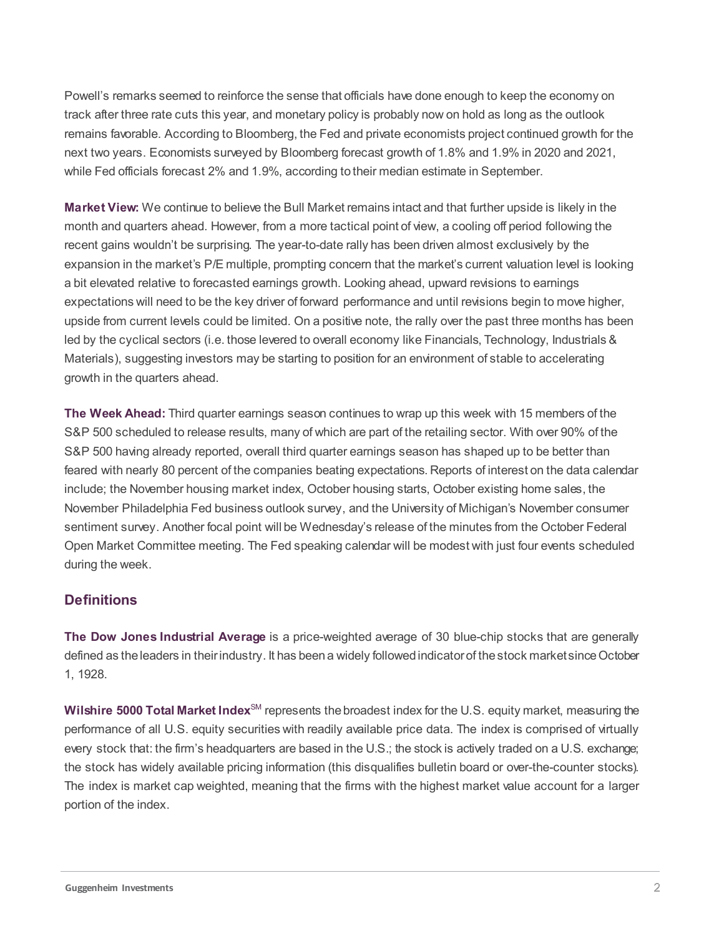Powell's remarks seemed to reinforce the sense that officials have done enough to keep the economy on track after three rate cuts this year, and monetary policy is probably now on hold as long as the outlook remains favorable. According to Bloomberg, the Fed and private economists project continued growth for the next two years. Economists surveyed by Bloomberg forecast growth of 1.8% and 1.9% in 2020 and 2021, while Fed officials forecast 2% and 1.9%, according to their median estimate in September.

**Market View:** We continue to believe the Bull Market remains intact and that further upside is likely in the month and quarters ahead. However, from a more tactical point of view, a cooling off period following the recent gains wouldn't be surprising. The year-to-date rally has been driven almost exclusively by the expansion in the market's P/E multiple, prompting concern that the market's current valuation level is looking a bit elevated relative to forecasted earnings growth. Looking ahead, upward revisions to earnings expectations will need to be the key driver of forward performance and until revisions begin to move higher, upside from current levels could be limited. On a positive note, the rally over the past three months has been led by the cyclical sectors (i.e. those levered to overall economy like Financials, Technology, Industrials & Materials), suggesting investors may be starting to position for an environment of stable to accelerating growth in the quarters ahead.

**The Week Ahead:** Third quarter earnings season continues to wrap up this week with 15 members of the S&P 500 scheduled to release results, many of which are part of the retailing sector. With over 90% of the S&P 500 having already reported, overall third quarter earnings season has shaped up to be better than feared with nearly 80 percent of the companies beating expectations. Reports of interest on the data calendar include; the November housing market index, October housing starts, October existing home sales, the November Philadelphia Fed business outlook survey, and the University of Michigan's November consumer sentiment survey. Another focal point will be Wednesday's release of the minutes from the October Federal Open Market Committee meeting. The Fed speaking calendar will be modest with just four events scheduled during the week.

#### **Definitions**

**The Dow Jones Industrial Average** is a price-weighted average of 30 blue-chip stocks that are generally defined as the leaders in their industry. It has been a widely followed indicator of the stock market since October 1, 1928.

**Wilshire 5000 Total Market Index**<sup>SM</sup> represents the broadest index for the U.S. equity market, measuring the performance of all U.S. equity securities with readily available price data. The index is comprised of virtually every stock that: the firm's headquarters are based in the U.S.; the stock is actively traded on a U.S. exchange; the stock has widely available pricing information (this disqualifies bulletin board or over-the-counter stocks). The index is market cap weighted, meaning that the firms with the highest market value account for a larger portion of the index.